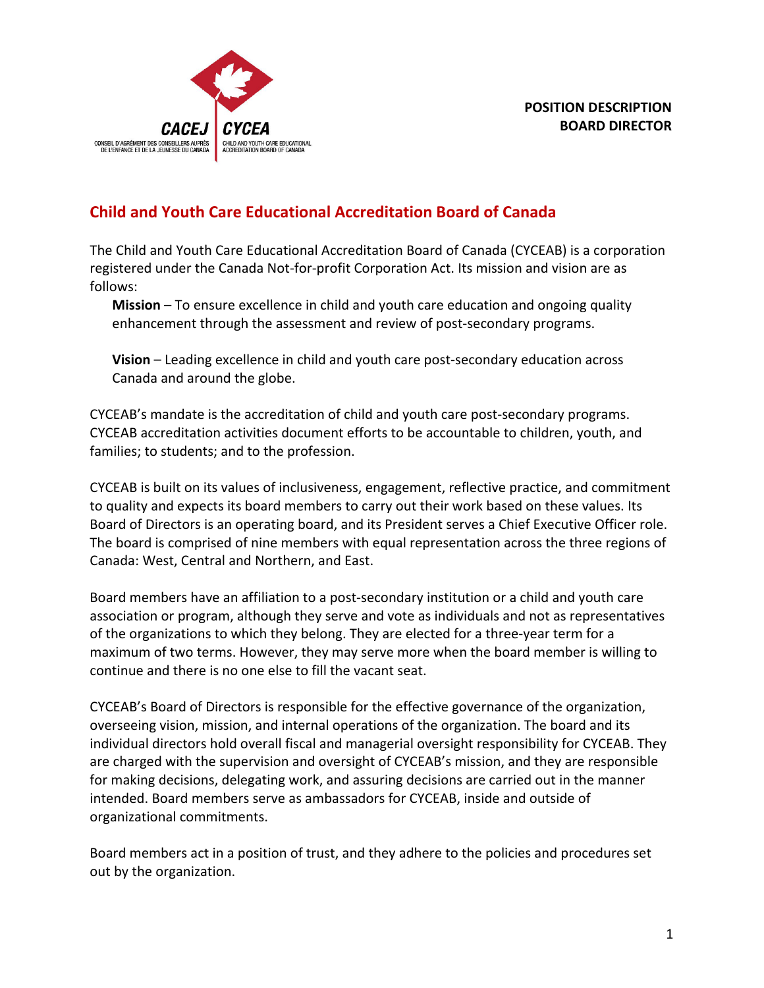

# **Child and Youth Care Educational Accreditation Board of Canada**

The Child and Youth Care Educational Accreditation Board of Canada (CYCEAB) is a corporation registered under the Canada Not-for-profit Corporation Act. Its mission and vision are as follows:

**Mission** – To ensure excellence in child and youth care education and ongoing quality enhancement through the assessment and review of post-secondary programs.

**Vision** – Leading excellence in child and youth care post-secondary education across Canada and around the globe.

CYCEAB's mandate is the accreditation of child and youth care post-secondary programs. CYCEAB accreditation activities document efforts to be accountable to children, youth, and families; to students; and to the profession.

CYCEAB is built on its values of inclusiveness, engagement, reflective practice, and commitment to quality and expects its board members to carry out their work based on these values. Its Board of Directors is an operating board, and its President serves a Chief Executive Officer role. The board is comprised of nine members with equal representation across the three regions of Canada: West, Central and Northern, and East.

Board members have an affiliation to a post-secondary institution or a child and youth care association or program, although they serve and vote as individuals and not as representatives of the organizations to which they belong. They are elected for a three-year term for a maximum of two terms. However, they may serve more when the board member is willing to continue and there is no one else to fill the vacant seat.

CYCEAB's Board of Directors is responsible for the effective governance of the organization, overseeing vision, mission, and internal operations of the organization. The board and its individual directors hold overall fiscal and managerial oversight responsibility for CYCEAB. They are charged with the supervision and oversight of CYCEAB's mission, and they are responsible for making decisions, delegating work, and assuring decisions are carried out in the manner intended. Board members serve as ambassadors for CYCEAB, inside and outside of organizational commitments.

Board members act in a position of trust, and they adhere to the policies and procedures set out by the organization.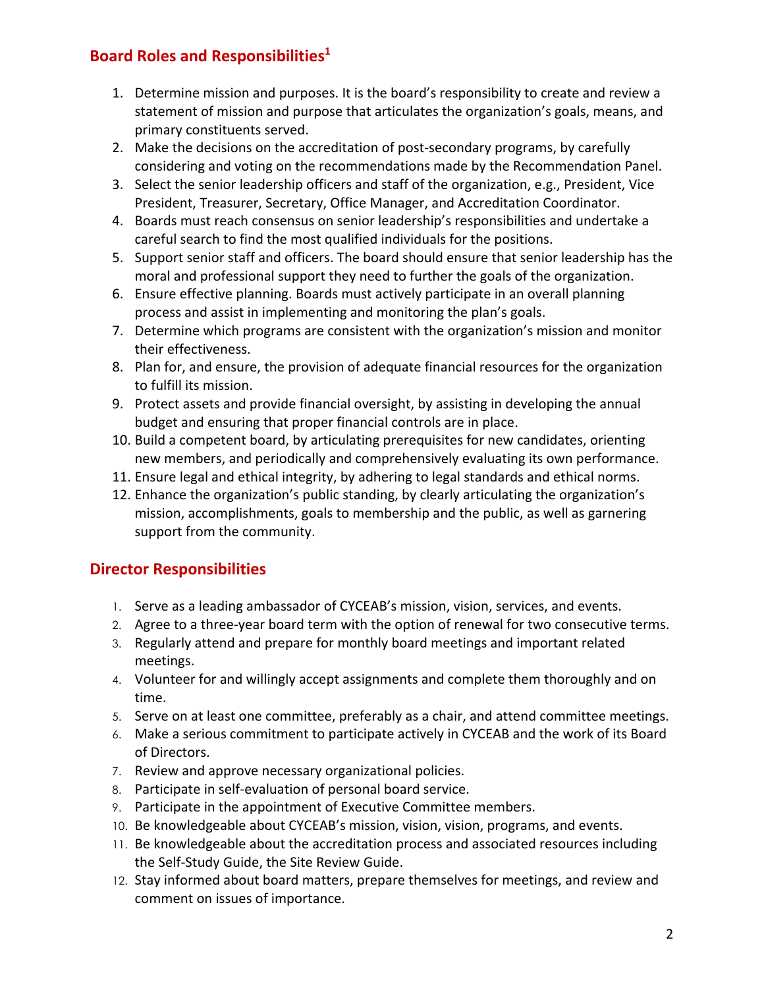## **Board Roles and Responsibilities1**

- 1. Determine mission and purposes. It is the board's responsibility to create and review a statement of mission and purpose that articulates the organization's goals, means, and primary constituents served.
- 2. Make the decisions on the accreditation of post-secondary programs, by carefully considering and voting on the recommendations made by the Recommendation Panel.
- 3. Select the senior leadership officers and staff of the organization, e.g., President, Vice President, Treasurer, Secretary, Office Manager, and Accreditation Coordinator.
- 4. Boards must reach consensus on senior leadership's responsibilities and undertake a careful search to find the most qualified individuals for the positions.
- 5. Support senior staff and officers. The board should ensure that senior leadership has the moral and professional support they need to further the goals of the organization.
- 6. Ensure effective planning. Boards must actively participate in an overall planning process and assist in implementing and monitoring the plan's goals.
- 7. Determine which programs are consistent with the organization's mission and monitor their effectiveness.
- 8. Plan for, and ensure, the provision of adequate financial resources for the organization to fulfill its mission.
- 9. Protect assets and provide financial oversight, by assisting in developing the annual budget and ensuring that proper financial controls are in place.
- 10. Build a competent board, by articulating prerequisites for new candidates, orienting new members, and periodically and comprehensively evaluating its own performance.
- 11. Ensure legal and ethical integrity, by adhering to legal standards and ethical norms.
- 12. Enhance the organization's public standing, by clearly articulating the organization's mission, accomplishments, goals to membership and the public, as well as garnering support from the community.

# **Director Responsibilities**

- 1. Serve as a leading ambassador of CYCEAB's mission, vision, services, and events.
- 2. Agree to a three-year board term with the option of renewal for two consecutive terms.
- 3. Regularly attend and prepare for monthly board meetings and important related meetings.
- 4. Volunteer for and willingly accept assignments and complete them thoroughly and on time.
- 5. Serve on at least one committee, preferably as a chair, and attend committee meetings.
- 6. Make a serious commitment to participate actively in CYCEAB and the work of its Board of Directors.
- 7. Review and approve necessary organizational policies.
- 8. Participate in self-evaluation of personal board service.
- 9. Participate in the appointment of Executive Committee members.
- 10. Be knowledgeable about CYCEAB's mission, vision, vision, programs, and events.
- 11. Be knowledgeable about the accreditation process and associated resources including the Self-Study Guide, the Site Review Guide.
- 12. Stay informed about board matters, prepare themselves for meetings, and review and comment on issues of importance.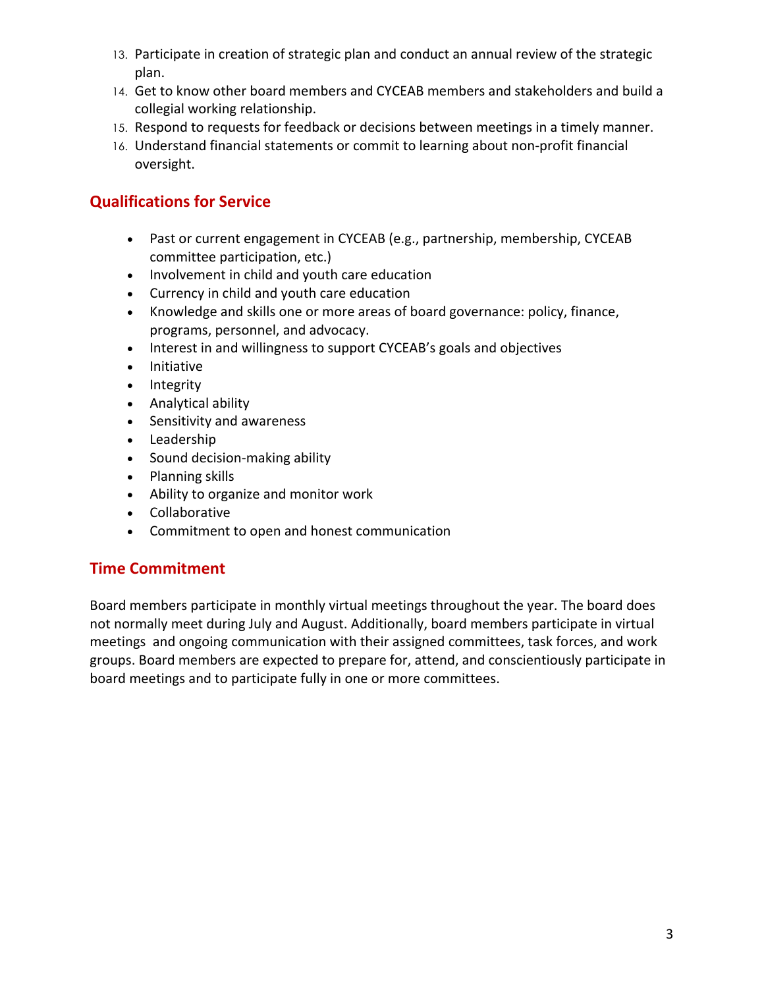- 13. Participate in creation of strategic plan and conduct an annual review of the strategic plan.
- 14. Get to know other board members and CYCEAB members and stakeholders and build a collegial working relationship.
- 15. Respond to requests for feedback or decisions between meetings in a timely manner.
- 16. Understand financial statements or commit to learning about non-profit financial oversight.

## **Qualifications for Service**

- Past or current engagement in CYCEAB (e.g., partnership, membership, CYCEAB committee participation, etc.)
- Involvement in child and youth care education
- Currency in child and youth care education
- Knowledge and skills one or more areas of board governance: policy, finance, programs, personnel, and advocacy.
- Interest in and willingness to support CYCEAB's goals and objectives
- Initiative
- Integrity
- Analytical ability
- Sensitivity and awareness
- Leadership
- Sound decision-making ability
- Planning skills
- Ability to organize and monitor work
- Collaborative
- Commitment to open and honest communication

## **Time Commitment**

Board members participate in monthly virtual meetings throughout the year. The board does not normally meet during July and August. Additionally, board members participate in virtual meetings and ongoing communication with their assigned committees, task forces, and work groups. Board members are expected to prepare for, attend, and conscientiously participate in board meetings and to participate fully in one or more committees.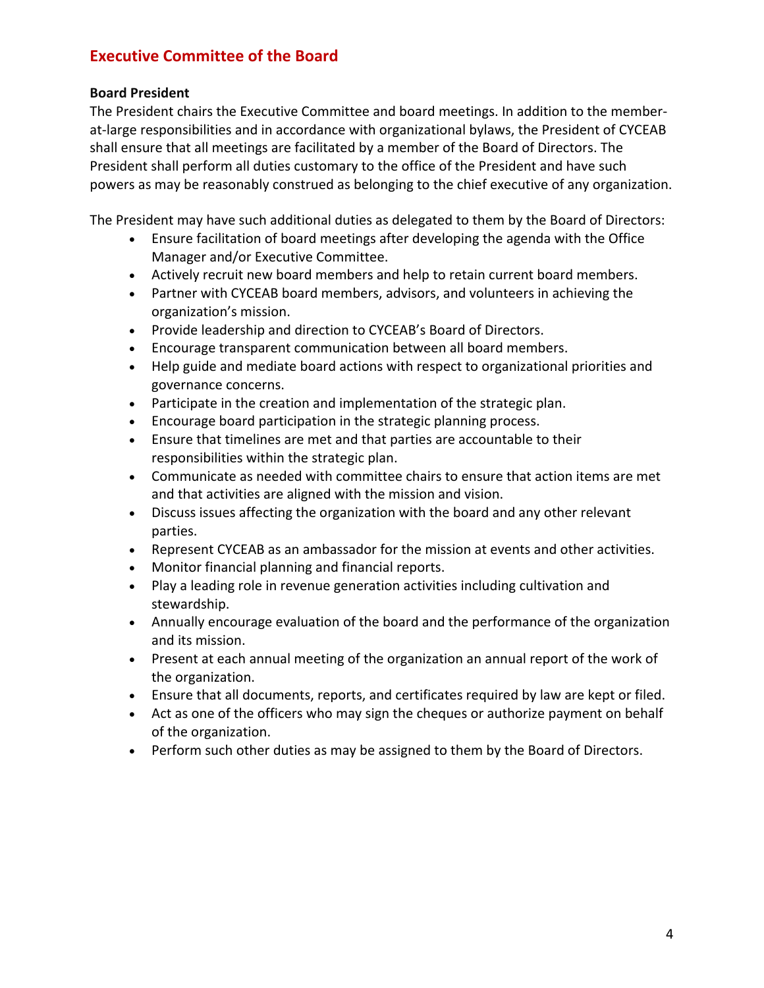## **Executive Committee of the Board**

#### **Board President**

The President chairs the Executive Committee and board meetings. In addition to the memberat-large responsibilities and in accordance with organizational bylaws, the President of CYCEAB shall ensure that all meetings are facilitated by a member of the Board of Directors. The President shall perform all duties customary to the office of the President and have such powers as may be reasonably construed as belonging to the chief executive of any organization.

The President may have such additional duties as delegated to them by the Board of Directors:

- Ensure facilitation of board meetings after developing the agenda with the Office Manager and/or Executive Committee.
- Actively recruit new board members and help to retain current board members.
- Partner with CYCEAB board members, advisors, and volunteers in achieving the organization's mission.
- Provide leadership and direction to CYCEAB's Board of Directors.
- Encourage transparent communication between all board members.
- Help guide and mediate board actions with respect to organizational priorities and governance concerns.
- Participate in the creation and implementation of the strategic plan.
- Encourage board participation in the strategic planning process.
- Ensure that timelines are met and that parties are accountable to their responsibilities within the strategic plan.
- Communicate as needed with committee chairs to ensure that action items are met and that activities are aligned with the mission and vision.
- Discuss issues affecting the organization with the board and any other relevant parties.
- Represent CYCEAB as an ambassador for the mission at events and other activities.
- Monitor financial planning and financial reports.
- Play a leading role in revenue generation activities including cultivation and stewardship.
- Annually encourage evaluation of the board and the performance of the organization and its mission.
- Present at each annual meeting of the organization an annual report of the work of the organization.
- Ensure that all documents, reports, and certificates required by law are kept or filed.
- Act as one of the officers who may sign the cheques or authorize payment on behalf of the organization.
- Perform such other duties as may be assigned to them by the Board of Directors.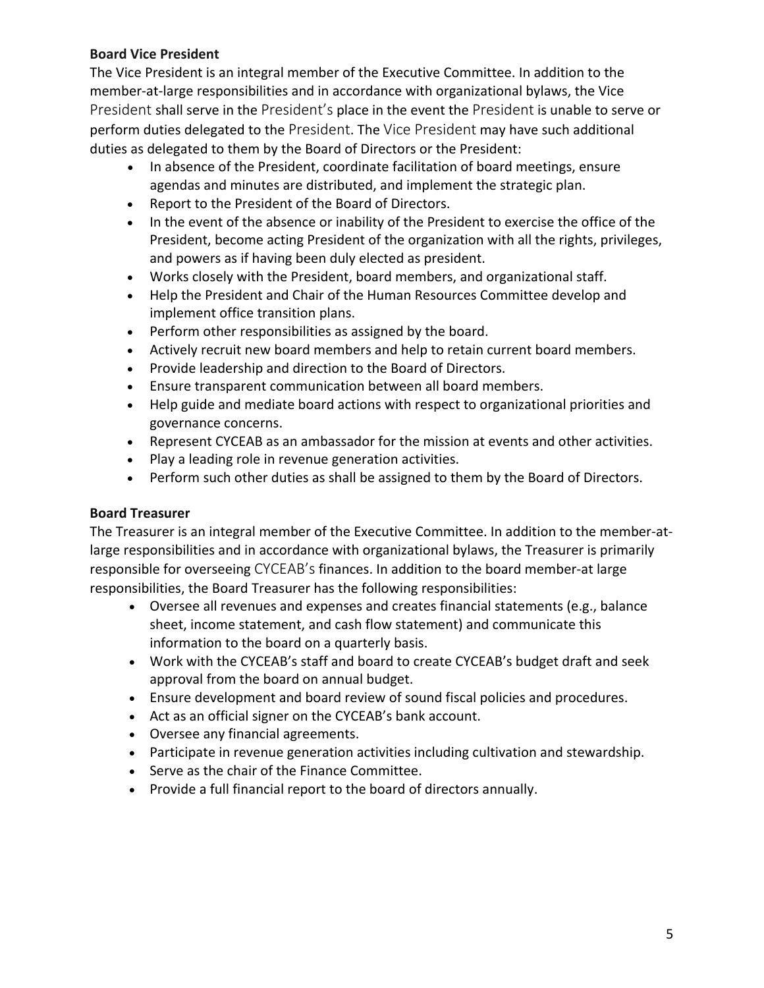### **Board Vice President**

The Vice President is an integral member of the Executive Committee. In addition to the member-at-large responsibilities and in accordance with organizational bylaws, the Vice President shall serve in the President's place in the event the President is unable to serve or perform duties delegated to the President. The Vice President may have such additional duties as delegated to them by the Board of Directors or the President:

- In absence of the President, coordinate facilitation of board meetings, ensure agendas and minutes are distributed, and implement the strategic plan.
- Report to the President of the Board of Directors.
- In the event of the absence or inability of the President to exercise the office of the President, become acting President of the organization with all the rights, privileges, and powers as if having been duly elected as president.
- Works closely with the President, board members, and organizational staff.
- Help the President and Chair of the Human Resources Committee develop and implement office transition plans.
- Perform other responsibilities as assigned by the board.
- Actively recruit new board members and help to retain current board members.
- Provide leadership and direction to the Board of Directors.
- Ensure transparent communication between all board members.
- Help guide and mediate board actions with respect to organizational priorities and governance concerns.
- Represent CYCEAB as an ambassador for the mission at events and other activities.
- Play a leading role in revenue generation activities.
- Perform such other duties as shall be assigned to them by the Board of Directors.

## **Board Treasurer**

The Treasurer is an integral member of the Executive Committee. In addition to the member-atlarge responsibilities and in accordance with organizational bylaws, the Treasurer is primarily responsible for overseeing CYCEAB's finances. In addition to the board member-at large responsibilities, the Board Treasurer has the following responsibilities:

- Oversee all revenues and expenses and creates financial statements (e.g., balance sheet, income statement, and cash flow statement) and communicate this information to the board on a quarterly basis.
- Work with the CYCEAB's staff and board to create CYCEAB's budget draft and seek approval from the board on annual budget.
- Ensure development and board review of sound fiscal policies and procedures.
- Act as an official signer on the CYCEAB's bank account.
- Oversee any financial agreements.
- Participate in revenue generation activities including cultivation and stewardship.
- Serve as the chair of the Finance Committee.
- Provide a full financial report to the board of directors annually.